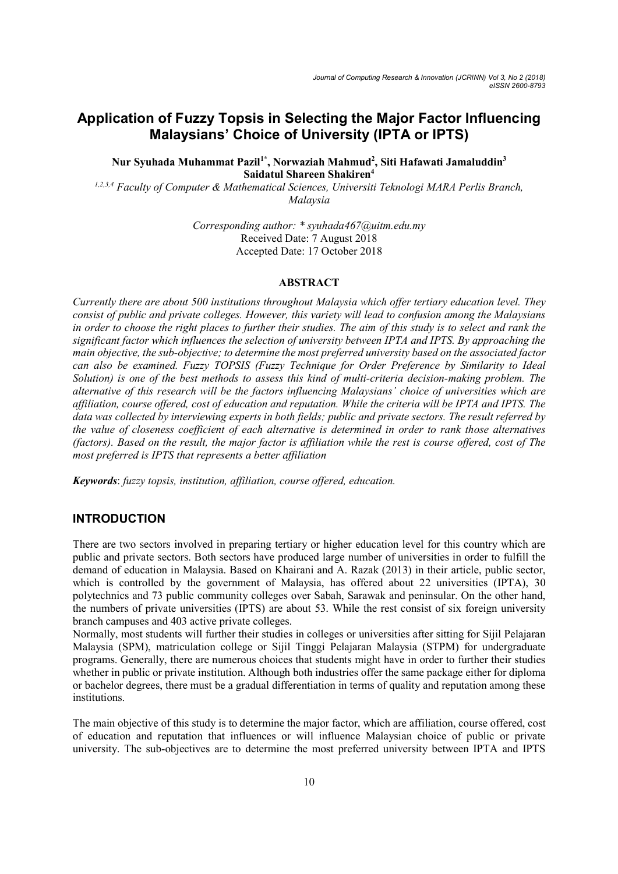# Application of Fuzzy Topsis in Selecting the Major Factor Influencing Malaysians' Choice of University (IPTA or IPTS)

## Nur Syuhada Muhammat Pazil<sup>1\*</sup>, Norwaziah Mahmud<sup>2</sup>, Siti Hafawati Jamaluddin<sup>3</sup> Saidatul Shareen Shakiren<sup>4</sup>

1,2,3,4 Faculty of Computer & Mathematical Sciences, Universiti Teknologi MARA Perlis Branch, Malaysia

> Corresponding author: \* syuhada467@uitm.edu.my Received Date: 7 August 2018 Accepted Date: 17 October 2018

#### ABSTRACT

Currently there are about 500 institutions throughout Malaysia which offer tertiary education level. They consist of public and private colleges. However, this variety will lead to confusion among the Malaysians in order to choose the right places to further their studies. The aim of this study is to select and rank the significant factor which influences the selection of university between IPTA and IPTS. By approaching the main objective, the sub-objective; to determine the most preferred university based on the associated factor can also be examined. Fuzzy TOPSIS (Fuzzy Technique for Order Preference by Similarity to Ideal Solution) is one of the best methods to assess this kind of multi-criteria decision-making problem. The alternative of this research will be the factors influencing Malaysians' choice of universities which are affiliation, course offered, cost of education and reputation. While the criteria will be IPTA and IPTS. The data was collected by interviewing experts in both fields; public and private sectors. The result referred by the value of closeness coefficient of each alternative is determined in order to rank those alternatives (factors). Based on the result, the major factor is affiliation while the rest is course offered, cost of The most preferred is IPTS that represents a better affiliation

Keywords: fuzzy topsis, institution, affiliation, course offered, education.

## INTRODUCTION

There are two sectors involved in preparing tertiary or higher education level for this country which are public and private sectors. Both sectors have produced large number of universities in order to fulfill the demand of education in Malaysia. Based on Khairani and A. Razak (2013) in their article, public sector, which is controlled by the government of Malaysia, has offered about 22 universities (IPTA), 30 polytechnics and 73 public community colleges over Sabah, Sarawak and peninsular. On the other hand, the numbers of private universities (IPTS) are about 53. While the rest consist of six foreign university branch campuses and 403 active private colleges.

Normally, most students will further their studies in colleges or universities after sitting for Sijil Pelajaran Malaysia (SPM), matriculation college or Sijil Tinggi Pelajaran Malaysia (STPM) for undergraduate programs. Generally, there are numerous choices that students might have in order to further their studies whether in public or private institution. Although both industries offer the same package either for diploma or bachelor degrees, there must be a gradual differentiation in terms of quality and reputation among these institutions.

The main objective of this study is to determine the major factor, which are affiliation, course offered, cost of education and reputation that influences or will influence Malaysian choice of public or private university. The sub-objectives are to determine the most preferred university between IPTA and IPTS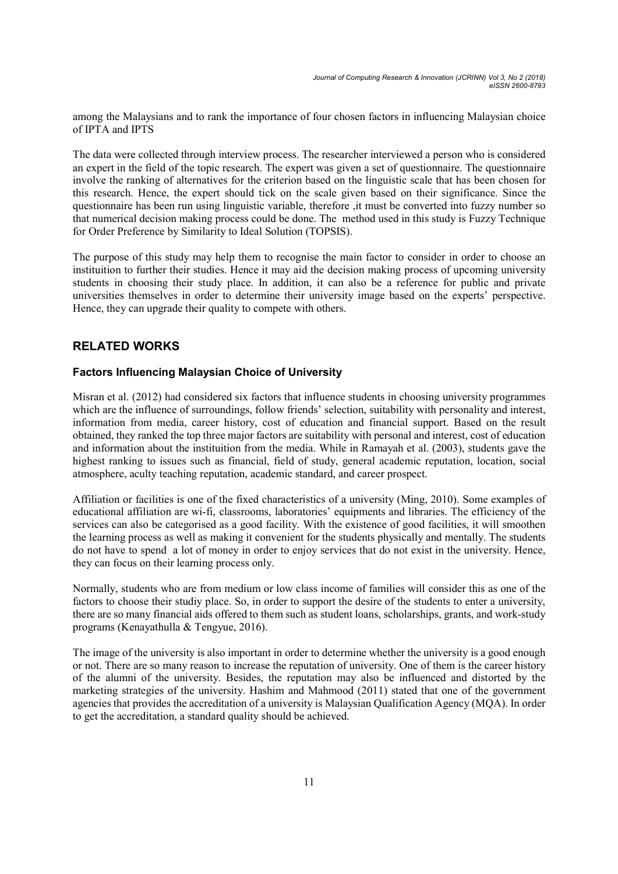among the Malaysians and to rank the importance of four chosen factors in influencing Malaysian choice of IPTA and IPTS

The data were collected through interview process. The researcher interviewed a person who is considered an expert in the field of the topic research. The expert was given a set of questionnaire. The questionnaire involve the ranking of alternatives for the criterion based on the linguistic scale that has been chosen for this research. Hence, the expert should tick on the scale given based on their significance. Since the questionnaire has been run using linguistic variable, therefore ,it must be converted into fuzzy number so that numerical decision making process could be done. The method used in this study is Fuzzy Technique for Order Preference by Similarity to Ideal Solution (TOPSIS).

The purpose of this study may help them to recognise the main factor to consider in order to choose an instituition to further their studies. Hence it may aid the decision making process of upcoming university students in choosing their study place. In addition, it can also be a reference for public and private universities themselves in order to determine their university image based on the experts' perspective. Hence, they can upgrade their quality to compete with others.

## RELATED WORKS

## Factors Influencing Malaysian Choice of University

Misran et al. (2012) had considered six factors that influence students in choosing university programmes which are the influence of surroundings, follow friends' selection, suitability with personality and interest, information from media, career history, cost of education and financial support. Based on the result obtained, they ranked the top three major factors are suitability with personal and interest, cost of education and information about the instituition from the media. While in Ramayah et al. (2003), students gave the highest ranking to issues such as financial, field of study, general academic reputation, location, social atmosphere, aculty teaching reputation, academic standard, and career prospect.

Affiliation or facilities is one of the fixed characteristics of a university (Ming, 2010). Some examples of educational affiliation are wi-fi, classrooms, laboratories' equipments and libraries. The efficiency of the services can also be categorised as a good facility. With the existence of good facilities, it will smoothen the learning process as well as making it convenient for the students physically and mentally. The students do not have to spend a lot of money in order to enjoy services that do not exist in the university. Hence, they can focus on their learning process only.

Normally, students who are from medium or low class income of families will consider this as one of the factors to choose their studiy place. So, in order to support the desire of the students to enter a university, there are so many financial aids offered to them such as student loans, scholarships, grants, and work-study programs (Kenayathulla & Tengyue, 2016).

The image of the university is also important in order to determine whether the university is a good enough or not. There are so many reason to increase the reputation of university. One of them is the career history of the alumni of the university. Besides, the reputation may also be influenced and distorted by the marketing strategies of the university. Hashim and Mahmood (2011) stated that one of the government agencies that provides the accreditation of a university is Malaysian Qualification Agency (MQA). In order to get the accreditation, a standard quality should be achieved.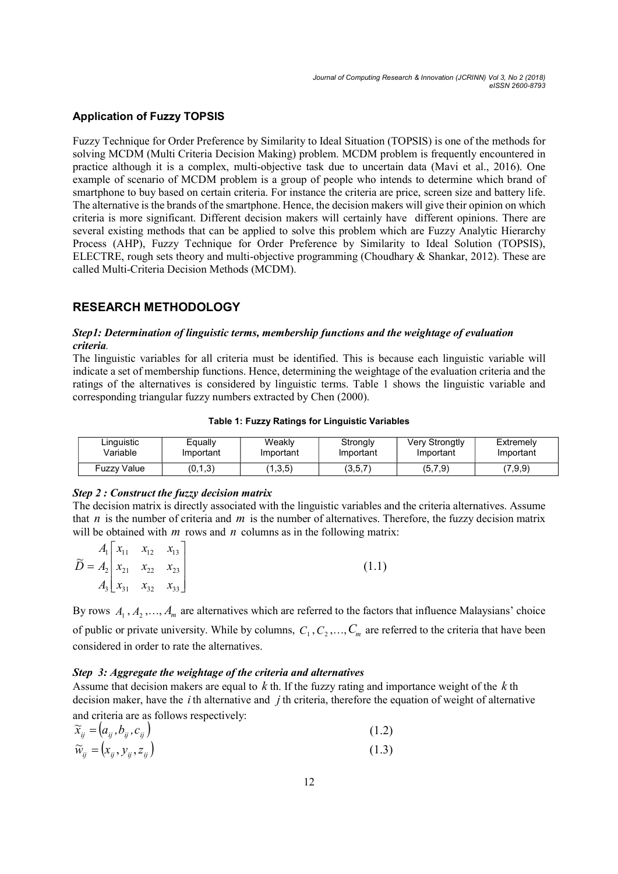## Application of Fuzzy TOPSIS

Fuzzy Technique for Order Preference by Similarity to Ideal Situation (TOPSIS) is one of the methods for solving MCDM (Multi Criteria Decision Making) problem. MCDM problem is frequently encountered in practice although it is a complex, multi-objective task due to uncertain data (Mavi et al., 2016). One example of scenario of MCDM problem is a group of people who intends to determine which brand of smartphone to buy based on certain criteria. For instance the criteria are price, screen size and battery life. The alternative is the brands of the smartphone. Hence, the decision makers will give their opinion on which criteria is more significant. Different decision makers will certainly have different opinions. There are several existing methods that can be applied to solve this problem which are Fuzzy Analytic Hierarchy Process (AHP), Fuzzy Technique for Order Preference by Similarity to Ideal Solution (TOPSIS), ELECTRE, rough sets theory and multi-objective programming (Choudhary & Shankar, 2012). These are called Multi-Criteria Decision Methods (MCDM).

## RESEARCH METHODOLOGY

### Step1: Determination of linguistic terms, membership functions and the weightage of evaluation criteria.

The linguistic variables for all criteria must be identified. This is because each linguistic variable will indicate a set of membership functions. Hence, determining the weightage of the evaluation criteria and the ratings of the alternatives is considered by linguistic terms. Table 1 shows the linguistic variable and corresponding triangular fuzzy numbers extracted by Chen (2000).

#### Table 1: Fuzzy Ratings for Linguistic Variables

| Linguistic  | Equally   | Weaklv                | Strongly  | <b>Very Strongtly</b> | Extremelv |
|-------------|-----------|-----------------------|-----------|-----------------------|-----------|
| Variable    | Important | Important             | Important | Important             | Important |
| Fuzzy Value | (0,1,3)   | (1,3,5)<br>$\sqrt{4}$ | (3,5,7)   | (5,7,9)               | (7,9,9)   |

## Step 2 : Construct the fuzzy decision matrix

The decision matrix is directly associated with the linguistic variables and the criteria alternatives. Assume that  $n$  is the number of criteria and  $m$  is the number of alternatives. Therefore, the fuzzy decision matrix will be obtained with  $m$  rows and  $n$  columns as in the following matrix:

| $A_1 \begin{bmatrix} x_{11} & x_{12} & x_{13} \end{bmatrix}$                                    |                                                              |  |       |
|-------------------------------------------------------------------------------------------------|--------------------------------------------------------------|--|-------|
| $\widetilde{D} = A_2 \begin{vmatrix} 1 & 1 & 12 & 13 \\ x_{21} & x_{22} & x_{23} \end{vmatrix}$ |                                                              |  | (1.1) |
|                                                                                                 | $A_3 \begin{bmatrix} x_{31} & x_{32} & x_{33} \end{bmatrix}$ |  |       |

By rows  $A_1, A_2, ..., A_m$  are alternatives which are referred to the factors that influence Malaysians' choice of public or private university. While by columns,  $C_1, C_2, ..., C_m$  are referred to the criteria that have been considered in order to rate the alternatives.

## Step 3: Aggregate the weightage of the criteria and alternatives

Assume that decision makers are equal to  $k$  th. If the fuzzy rating and importance weight of the  $k$  th decision maker, have the  $i$  th alternative and  $j$  th criteria, therefore the equation of weight of alternative and criteria are as follows respectively:

$$
\widetilde{x}_{ij} = (a_{ij}, b_{ij}, c_{ij})
$$
\n
$$
\widetilde{w}_{ij} = (x_{ij}, y_{ij}, z_{ij})
$$
\n(1.2)\n(1.3)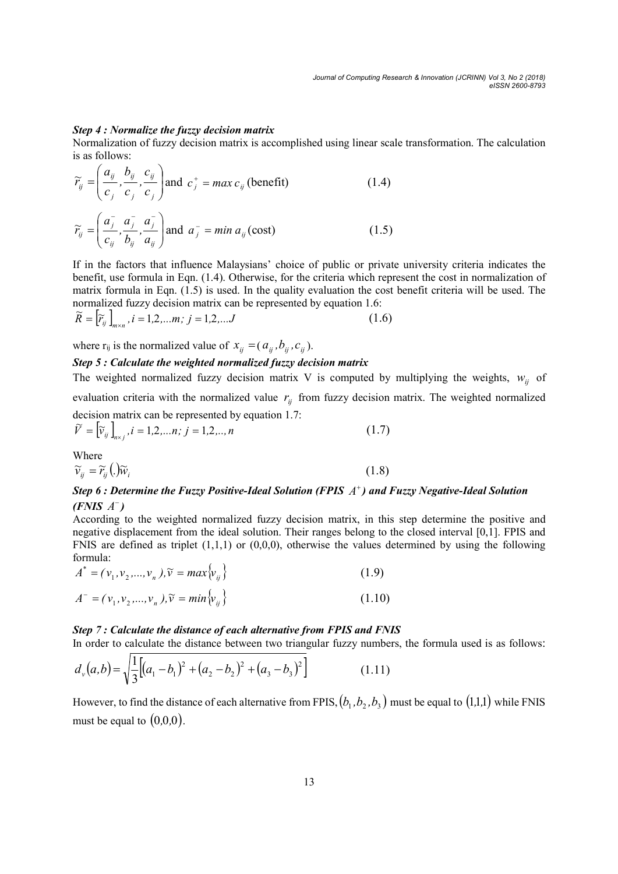#### Step 4 : Normalize the fuzzy decision matrix

ij

a

ij

 $b_i$ 

 $\setminus$ 

ij

 $c_i$ 

Normalization of fuzzy decision matrix is accomplished using linear scale transformation. The calculation is as follows:

$$
\widetilde{r}_{ij} = \left(\frac{a_{ij}}{c_j}, \frac{b_{ij}}{c_j}, \frac{c_{ij}}{c_j}\right) \text{and } c_j^+ = \max c_{ij} \text{ (benefit)} \tag{1.4}
$$
\n
$$
\widetilde{r}_{ij} = \left(\frac{a_j^-}{c_{ij}}, \frac{a_j^-}{b_{ij}}, \frac{a_j^-}{a_{ij}}\right) \text{and } a_j^- = \min a_{ij} \text{ (cost)} \tag{1.5}
$$

If in the factors that influence Malaysians' choice of public or private university criteria indicates the benefit, use formula in Eqn. (1.4). Otherwise, for the criteria which represent the cost in normalization of matrix formula in Eqn. (1.5) is used. In the quality evaluation the cost benefit criteria will be used. The normalized fuzzy decision matrix can be represented by equation 1.6:

$$
\widetilde{R} = \left[ \widetilde{r}_{ij} \right]_{m \times n}, i = 1, 2, ..., n; j = 1, 2, ... J
$$
\n(1.6)

where  $r_{ij}$  is the normalized value of  $x_{ij} = (a_{ij}, b_{ij}, c_{ij})$ .

## Step 5 : Calculate the weighted normalized fuzzy decision matrix

The weighted normalized fuzzy decision matrix V is computed by multiplying the weights,  $w_{ii}$  of evaluation criteria with the normalized value  $r_{ij}$  from fuzzy decision matrix. The weighted normalized decision matrix can be represented by equation 1.7:

$$
\tilde{V} = [\tilde{v}_{ij}]_{n \times j}, i = 1, 2, ..., n; j = 1, 2, ..., n
$$
\n(1.7)

Where  
\n
$$
\widetilde{v}_{ij} = \widetilde{r}_{ij} \left( . \right) \widetilde{w}_i \tag{1.8}
$$

## Step 6 : Determine the Fuzzy Positive-Ideal Solution (FPIS  $A^+$ ) and Fuzzy Negative-Ideal Solution  $(FNIS A^{-})$

According to the weighted normalized fuzzy decision matrix, in this step determine the positive and negative displacement from the ideal solution. Their ranges belong to the closed interval [0,1]. FPIS and FNIS are defined as triplet  $(1,1,1)$  or  $(0,0,0)$ , otherwise the values determined by using the following formula: duation criteria with the normalized value  $r_y$  from lizzy decision matrix. The weighted normalized<br>  $= \int_{\tilde{v}}^{\tilde{v}} \int_{\tilde{w}_{\text{avg}}^{\tilde{v}}} f(t) = 1, 2, ..., n$  (1.7)<br>  $= \int_{\tilde{v}}^{\tilde{v}} \int_{\tilde{w}_{\text{avg}}^{\tilde{v}}} f(t) = 1, 2, ..., n$  (1.7)<br>

$$
A^* = (\nu_1, \nu_2, ..., \nu_n), \tilde{\nu} = max \{\nu_{ij}\}\
$$
  

$$
A^- = (\nu_1, \nu_2, ..., \nu_n), \tilde{\nu} = min \{\nu_{ij}\}\
$$
 (1.10)

#### Step 7 : Calculate the distance of each alternative from FPIS and FNIS

In order to calculate the distance between two triangular fuzzy numbers, the formula used is as follows:

$$
d_{\nu}(a,b) = \sqrt{\frac{1}{3} \left[ (a_1 - b_1)^2 + (a_2 - b_2)^2 + (a_3 - b_3)^2 \right]}
$$
 (1.11)

However, to find the distance of each alternative from FPIS,  $(b_1, b_2, b_3)$  must be equal to  $(1,1,1)$  while FNIS must be equal to  $(0,0,0)$ .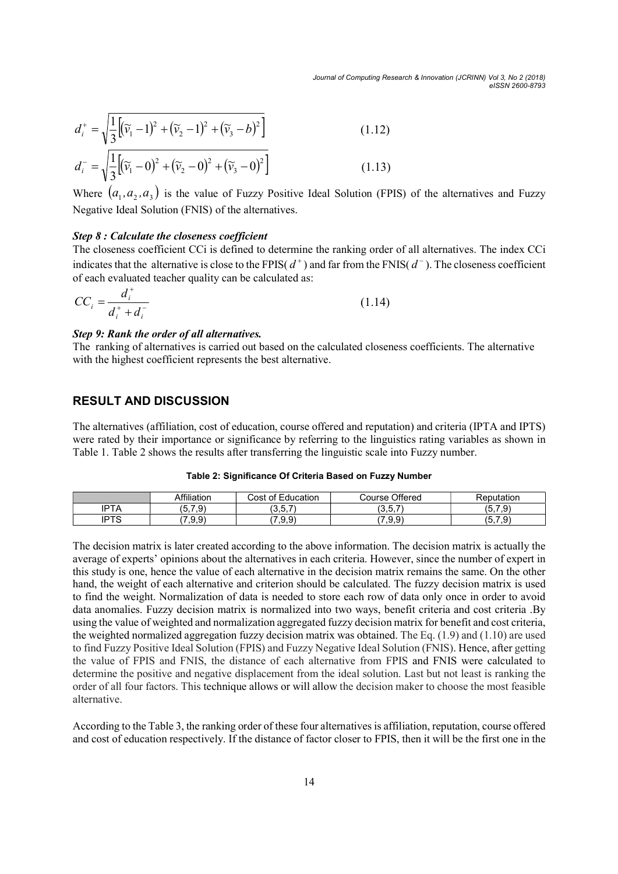Journal of Computing Research & Innovation (JCRINN) Vol 3, No 2 (2018) eISSN 2600-8793

Journal of Computing Research & Innovation (JCRINN) Vol 3, No 2 (2018)  
\n
$$
d_i^+ = \sqrt{\frac{1}{3} \left[ (\tilde{v}_1 - 1)^2 + (\tilde{v}_2 - 1)^2 + (\tilde{v}_3 - b)^2 \right]}
$$
\n
$$
d_i^- = \sqrt{\frac{1}{3} \left[ (\tilde{v}_1 - 0)^2 + (\tilde{v}_2 - 0)^2 + (\tilde{v}_3 - 0)^2 \right]}
$$
\n(1.12)  
\nWhere  $(a_1, a_2, a_3)$  is the value of Fuzzy Positive Ideal Solution (FPIS) of the alternatives and Fuzzy Negative Ideal Solution (FNIS) of the alternatives.

Where  $(a_1, a_2, a_3)$  is the value of Fuzzy Positive Ideal Solution (FPIS) of the alternatives and Fuzzy Negative Ideal Solution (FNIS) of the alternatives.

#### Step 8 : Calculate the closeness coefficient

The closeness coefficient CCi is defined to determine the ranking order of all alternatives. The index CCi indicates that the alternative is close to the FPIS( $d^+$ ) and far from the FNIS( $d^-$ ). The closeness coefficient of each evaluated teacher quality can be calculated as:

$$
CC_i = \frac{d_i^+}{d_i^+ + d_i^-}
$$
 (1.14)

#### Step 9: Rank the order of all alternatives.

The ranking of alternatives is carried out based on the calculated closeness coefficients. The alternative with the highest coefficient represents the best alternative.

## RESULT AND DISCUSSION

The alternatives (affiliation, cost of education, course offered and reputation) and criteria (IPTA and IPTS) were rated by their importance or significance by referring to the linguistics rating variables as shown in Table 1. Table 2 shows the results after transferring the linguistic scale into Fuzzy number.

|      | Affiliation           | of Education<br>Cost | Course Offered                       | Reputation   |
|------|-----------------------|----------------------|--------------------------------------|--------------|
| 'PTA | .7.9)<br>$\mathsf{v}$ | つにつ<br>، ب. ب        | (2.57)<br>$\cup$ , $\cup$ , $\prime$ | (5.7.9)      |
| IPTS | .9.9                  | (7.9.9)              | (7.9.9)                              | .7.9<br>(5,7 |

The decision matrix is later created according to the above information. The decision matrix is actually the average of experts' opinions about the alternatives in each criteria. However, since the number of expert in this study is one, hence the value of each alternative in the decision matrix remains the same. On the other hand, the weight of each alternative and criterion should be calculated. The fuzzy decision matrix is used to find the weight. Normalization of data is needed to store each row of data only once in order to avoid data anomalies. Fuzzy decision matrix is normalized into two ways, benefit criteria and cost criteria .By using the value of weighted and normalization aggregated fuzzy decision matrix for benefit and cost criteria, the weighted normalized aggregation fuzzy decision matrix was obtained. The Eq. (1.9) and (1.10) are used to find Fuzzy Positive Ideal Solution (FPIS) and Fuzzy Negative Ideal Solution (FNIS). Hence, after getting the value of FPIS and FNIS, the distance of each alternative from FPIS and FNIS were calculated to determine the positive and negative displacement from the ideal solution. Last but not least is ranking the order of all four factors. This technique allows or will allow the decision maker to choose the most feasible alternative.

According to the Table 3, the ranking order of these four alternatives is affiliation, reputation, course offered and cost of education respectively. If the distance of factor closer to FPIS, then it will be the first one in the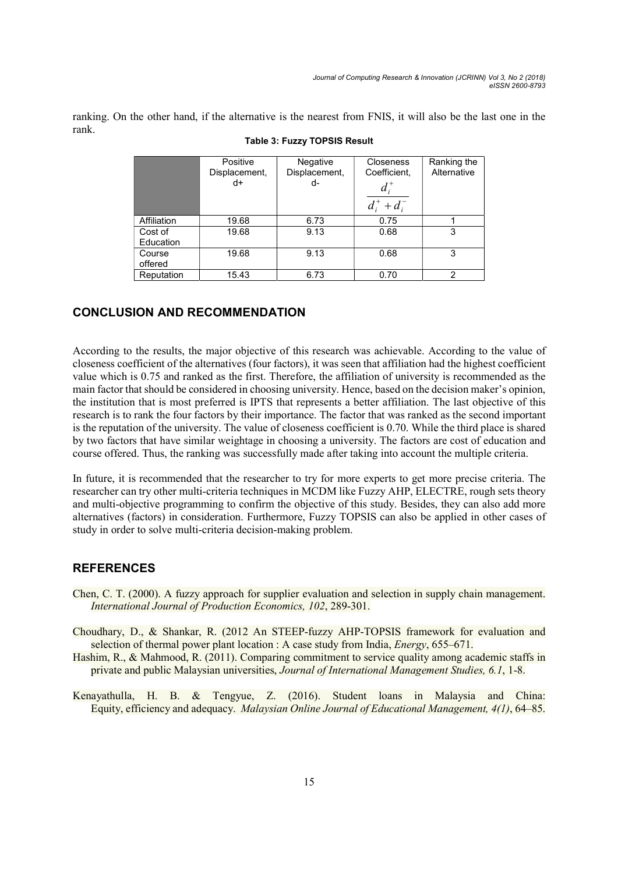ranking. On the other hand, if the alternative is the nearest from FNIS, it will also be the last one in the rank.

|                      | Positive<br>Displacement,<br>d+ | Negative<br>Displacement,<br>d- | <b>Closeness</b><br>Coefficient,<br>$d_i^*$<br>$d_i^+ + d_i^-$ | Ranking the<br>Alternative |
|----------------------|---------------------------------|---------------------------------|----------------------------------------------------------------|----------------------------|
| Affiliation          | 19.68                           | 6.73                            | 0.75                                                           |                            |
| Cost of<br>Education | 19.68                           | 9.13                            | 0.68                                                           | 3                          |
| Course<br>offered    | 19.68                           | 9.13                            | 0.68                                                           | 3                          |
| Reputation           | 15.43                           | 6.73                            | 0.70                                                           | 2                          |

#### Table 3: Fuzzy TOPSIS Result

## CONCLUSION AND RECOMMENDATION

According to the results, the major objective of this research was achievable. According to the value of closeness coefficient of the alternatives (four factors), it was seen that affiliation had the highest coefficient value which is 0.75 and ranked as the first. Therefore, the affiliation of university is recommended as the main factor that should be considered in choosing university. Hence, based on the decision maker's opinion, the institution that is most preferred is IPTS that represents a better affiliation. The last objective of this research is to rank the four factors by their importance. The factor that was ranked as the second important is the reputation of the university. The value of closeness coefficient is 0.70. While the third place is shared by two factors that have similar weightage in choosing a university. The factors are cost of education and course offered. Thus, the ranking was successfully made after taking into account the multiple criteria.

In future, it is recommended that the researcher to try for more experts to get more precise criteria. The researcher can try other multi-criteria techniques in MCDM like Fuzzy AHP, ELECTRE, rough sets theory and multi-objective programming to confirm the objective of this study. Besides, they can also add more alternatives (factors) in consideration. Furthermore, Fuzzy TOPSIS can also be applied in other cases of study in order to solve multi-criteria decision-making problem.

## **REFERENCES**

- Chen, C. T. (2000). A fuzzy approach for supplier evaluation and selection in supply chain management. International Journal of Production Economics, 102, 289-301.
- Choudhary, D., & Shankar, R. (2012 An STEEP-fuzzy AHP-TOPSIS framework for evaluation and selection of thermal power plant location : A case study from India, *Energy*, 655–671.
- Hashim, R., & Mahmood, R. (2011). Comparing commitment to service quality among academic staffs in private and public Malaysian universities, Journal of International Management Studies, 6.1, 1-8.
- Kenayathulla, H. B. & Tengyue, Z. (2016). Student loans in Malaysia and China: Equity, efficiency and adequacy. Malaysian Online Journal of Educational Management, 4(1), 64–85.